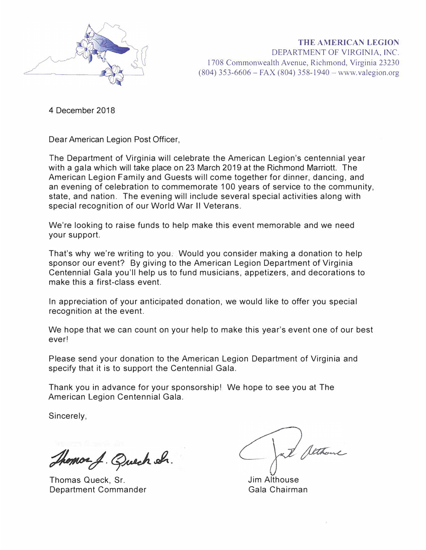

**THE AMERICAN LEGION**  DEPARTMENT OF VIRGINIA, INC. 1708 Commonwealth Avenue, Richmond, Virginia 23230  $(804)$  353-6606 – FAX (804) 358-1940 – www.valegion.org

4 December 2018

Dear American Legion Post Officer,

The Department of Virginia will celebrate the American Legion's centennial year with a gala which will take place on 23 March 2019 at the Richmond Marriott. The American Legion Family and Guests will come together for dinner, dancing, and an evening of celebration to commemorate 100 years of service to the community, state, and nation. The evening will include several special activities along with special recognition of our World War II Veterans.

We're looking to raise funds to help make this event memorable and we need your support.

That's why we're writing to you. Would you consider making a donation to help sponsor our event? By giving to the American Legion Department of Virginia Centennial Gala you'll help us to fund musicians, appetizers, and decorations to make this a first-class event.

In appreciation of your anticipated donation, we would like to offer you special recognition at the event.

We hope that we can count on your help to make this year's event one of our best ever!

Please send your donation to the American Legion Department of Virginia and specify that it is to support the Centennial Gala.

Thank you in advance for your sponsorship! We hope to see you at The American Legion Centennial Gala.

Sincerely,

Thomas J. Queck Sr.

Thomas Queck, Sr. Department Commander

Sethane

Jim Althouse Gala Chairman